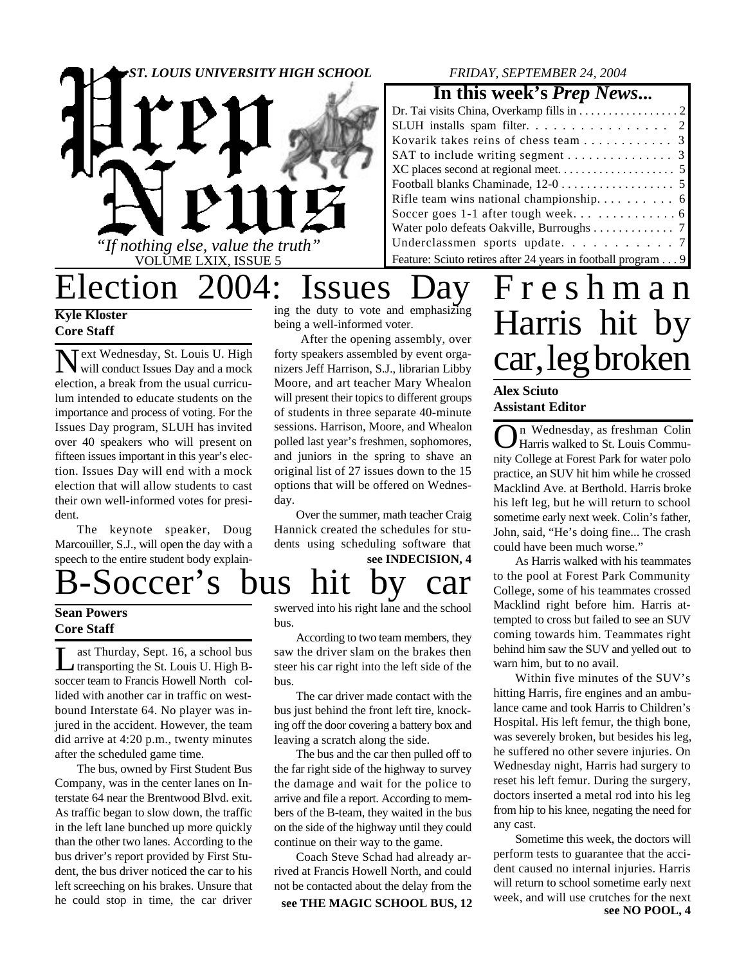

### *FRIDAY, SEPTEMBER 24, 2004*

### Dr. Tai visits China, Overkamp fills in . . . . . . . . . . . . . . . . 2 SLUH installs spam filter. . . . . . . . . . . . . . . . 2 Kovarik takes reins of chess team . . . . . . . . . . . . 3 SAT to include writing segment  $\dots \dots \dots \dots$  3 XC places second at regional meet. . . . . . . . . . . . . . . . . . . . 5 Football blanks Chaminade, 12-0 . . . . . . . . . . . . . . . . . . 5 Rifle team wins national championship.  $\dots \dots \dots$  6 Soccer goes  $1-1$  after tough week. . . . . . . . . . . . . . 6 Water polo defeats Oakville, Burroughs . . . . . . . . . . . . 7 Underclassmen sports update. . . . . . . . . . 7 Feature: Sciuto retires after 24 years in football program . . . 9 **In this week's** *Prep News***...**

**Kyle Kloster Core Staff**

Next Wednesday, St. Louis U. High will conduct Issues Day and a mock election, a break from the usual curriculum intended to educate students on the importance and process of voting. For the Issues Day program, SLUH has invited over 40 speakers who will present on fifteen issues important in this year's election. Issues Day will end with a mock election that will allow students to cast their own well-informed votes for president.

The keynote speaker, Doug Marcouiller, S.J., will open the day with a speech to the entire student body explain-

ing the duty to vote and emphasizing being a well-informed voter.

 After the opening assembly, over forty speakers assembled by event organizers Jeff Harrison, S.J., librarian Libby Moore, and art teacher Mary Whealon will present their topics to different groups of students in three separate 40-minute sessions. Harrison, Moore, and Whealon polled last year's freshmen, sophomores, and juniors in the spring to shave an original list of 27 issues down to the 15 options that will be offered on Wednesday.

**see INDECISION, 4** Over the summer, math teacher Craig Hannick created the schedules for students using scheduling software that

# B-Soccer's bus hit by car

**Sean Powers Core Staff**

L ast Thurday, Sept. 16, a school bus transporting the St. Louis U. High Bsoccer team to Francis Howell North collided with another car in traffic on westbound Interstate 64. No player was injured in the accident. However, the team did arrive at 4:20 p.m., twenty minutes after the scheduled game time.

The bus, owned by First Student Bus Company, was in the center lanes on Interstate 64 near the Brentwood Blvd. exit. As traffic began to slow down, the traffic in the left lane bunched up more quickly than the other two lanes. According to the bus driver's report provided by First Student, the bus driver noticed the car to his left screeching on his brakes. Unsure that he could stop in time, the car driver

swerved into his right lane and the school bus.

According to two team members, they saw the driver slam on the brakes then steer his car right into the left side of the bus.

The car driver made contact with the bus just behind the front left tire, knocking off the door covering a battery box and leaving a scratch along the side.

The bus and the car then pulled off to the far right side of the highway to survey the damage and wait for the police to arrive and file a report. According to members of the B-team, they waited in the bus on the side of the highway until they could continue on their way to the game.

Coach Steve Schad had already arrived at Francis Howell North, and could not be contacted about the delay from the

# Election 2004: Issues Day F r e s h m a n Harris hit by car, leg broken

### **Alex Sciuto Assistant Editor**

O n Wednesday, as freshman Colin Harris walked to St. Louis Community College at Forest Park for water polo practice, an SUV hit him while he crossed Macklind Ave. at Berthold. Harris broke his left leg, but he will return to school sometime early next week. Colin's father, John, said, "He's doing fine... The crash could have been much worse."

As Harris walked with his teammates to the pool at Forest Park Community College, some of his teammates crossed Macklind right before him. Harris attempted to cross but failed to see an SUV coming towards him. Teammates right behind him saw the SUV and yelled out to warn him, but to no avail.

Within five minutes of the SUV's hitting Harris, fire engines and an ambulance came and took Harris to Children's Hospital. His left femur, the thigh bone, was severely broken, but besides his leg, he suffered no other severe injuries. On Wednesday night, Harris had surgery to reset his left femur. During the surgery, doctors inserted a metal rod into his leg from hip to his knee, negating the need for any cast.

see THE MAGIC SCHOOL BUS, 12 week, and will use cruiches for the next<br>see NO POOL, 4 Sometime this week, the doctors will perform tests to guarantee that the accident caused no internal injuries. Harris will return to school sometime early next week, and will use crutches for the next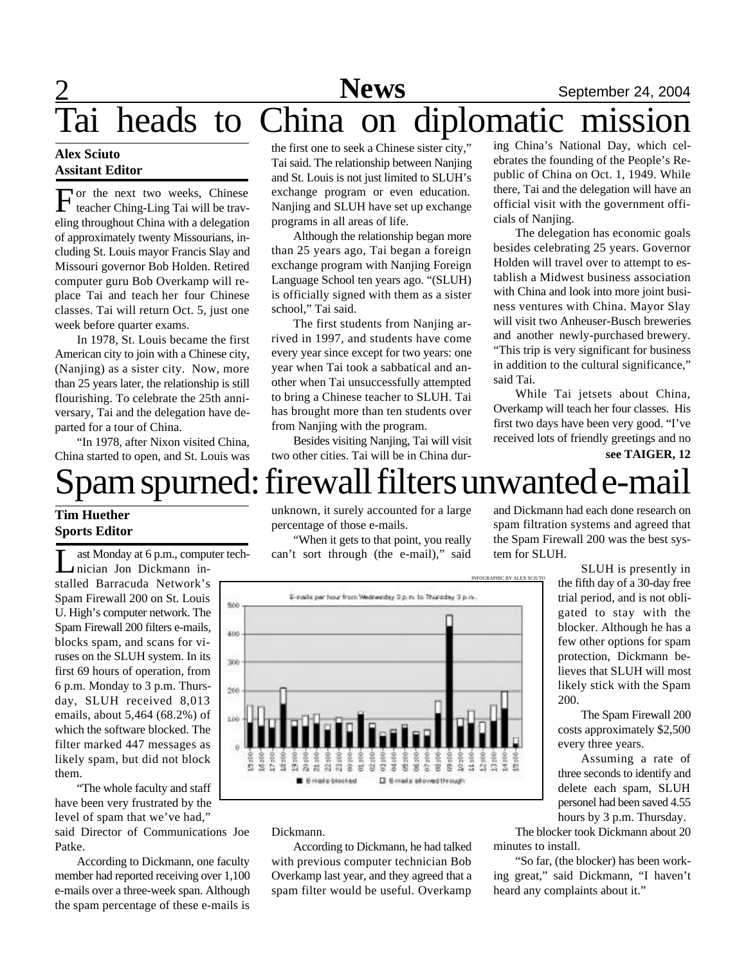## 2 **News** September 24, 2004<br>**a** On diplomatic mission heads to China on

### **Alex Sciuto Assitant Editor**

F or the next two weeks, Chinese teacher Ching-Ling Tai will be traveling throughout China with a delegation of approximately twenty Missourians, including St. Louis mayor Francis Slay and Missouri governor Bob Holden. Retired computer guru Bob Overkamp will replace Tai and teach her four Chinese classes. Tai will return Oct. 5, just one week before quarter exams.

In 1978, St. Louis became the first American city to join with a Chinese city, (Nanjing) as a sister city. Now, more than 25 years later, the relationship is still flourishing. To celebrate the 25th anniversary, Tai and the delegation have departed for a tour of China.

"In 1978, after Nixon visited China, China started to open, and St. Louis was the first one to seek a Chinese sister city," Tai said. The relationship between Nanjing and St. Louis is not just limited to SLUH's exchange program or even education. Nanjing and SLUH have set up exchange programs in all areas of life.

Although the relationship began more than 25 years ago, Tai began a foreign exchange program with Nanjing Foreign Language School ten years ago. "(SLUH) is officially signed with them as a sister school," Tai said.

The first students from Nanjing arrived in 1997, and students have come every year since except for two years: one year when Tai took a sabbatical and another when Tai unsuccessfully attempted to bring a Chinese teacher to SLUH. Tai has brought more than ten students over from Nanjing with the program.

Besides visiting Nanjing, Tai will visit two other cities. Tai will be in China during China's National Day, which celebrates the founding of the People's Republic of China on Oct. 1, 1949. While there, Tai and the delegation will have an official visit with the government officials of Nanjing.

The delegation has economic goals besides celebrating 25 years. Governor Holden will travel over to attempt to establish a Midwest business association with China and look into more joint business ventures with China. Mayor Slay will visit two Anheuser-Busch breweries and another newly-purchased brewery. "This trip is very significant for business in addition to the cultural significance," said Tai.

**see TAIGER, 12** While Tai jetsets about China, Overkamp will teach her four classes. His first two days have been very good. "I've received lots of friendly greetings and no

# Spam spurned: firewall filters unwanted e-mail

### **Tim Huether Sports Editor**

L ast Monday at 6 p.m., computed and the Mickey and the Mickey and the Mickey and the Mickey and the Mickey and the Mickey and the Mickey and the Mickey and the Mickey and the Mickey and the Mickey and the Mickey and the M ast Monday at 6 p.m., computer techstalled Barracuda Network's Spam Firewall 200 on St. Louis U. High's computer network. The Spam Firewall 200 filters e-mails, blocks spam, and scans for viruses on the SLUH system. In its first 69 hours of operation, from 6 p.m. Monday to 3 p.m. Thursday, SLUH received 8,013 emails, about 5,464 (68.2%) of which the software blocked. The filter marked 447 messages as likely spam, but did not block them.

"The whole faculty and staff have been very frustrated by the level of spam that we've had,"

said Director of Communications Joe Patke.

According to Dickmann, one faculty member had reported receiving over 1,100 e-mails over a three-week span. Although the spam percentage of these e-mails is

unknown, it surely accounted for a large percentage of those e-mails.

"When it gets to that point, you really can't sort through (the e-mail)," said



Dickmann.

According to Dickmann, he had talked with previous computer technician Bob Overkamp last year, and they agreed that a spam filter would be useful. Overkamp

and Dickmann had each done research on spam filtration systems and agreed that the Spam Firewall 200 was the best system for SLUH.

> SLUH is presently in the fifth day of a 30-day free trial period, and is not obligated to stay with the blocker. Although he has a few other options for spam protection, Dickmann believes that SLUH will most likely stick with the Spam 200.

> The Spam Firewall 200 costs approximately \$2,500 every three years.

> Assuming a rate of three seconds to identify and delete each spam, SLUH personel had been saved 4.55 hours by 3 p.m. Thursday.

The blocker took Dickmann about 20 minutes to install.

"So far, (the blocker) has been working great," said Dickmann, "I haven't heard any complaints about it."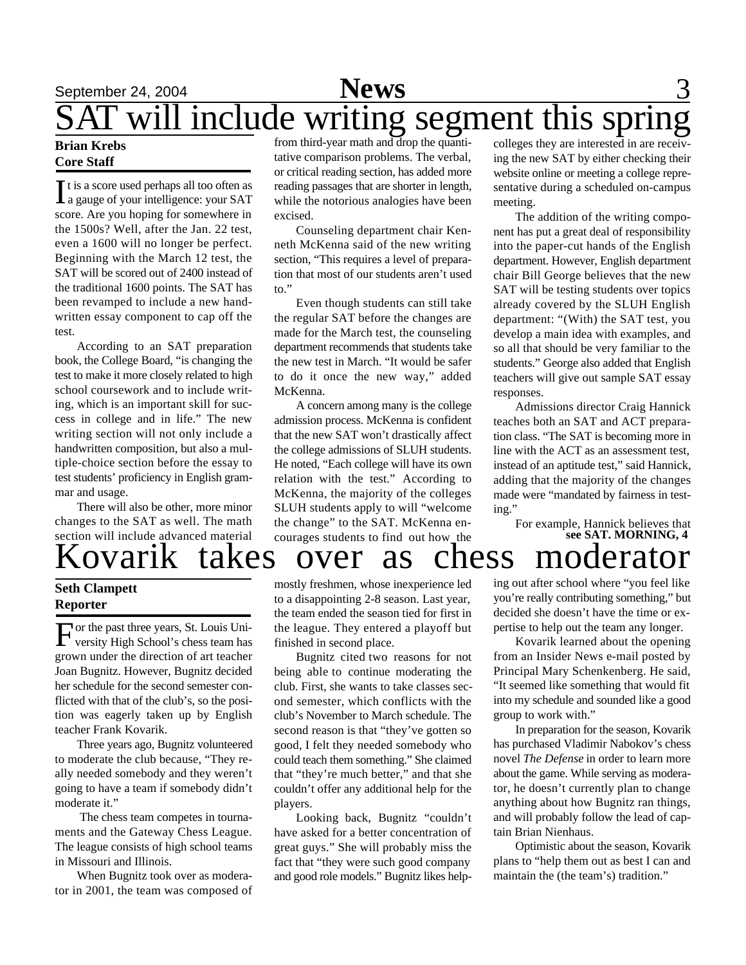# **September 24, 2004 News** 3 will include writing segment this sprin

### **Brian Krebs Core Staff**

It is a score used perhaps all too often as<br> **I** a gauge of your intelligence: your SAT a gauge of your intelligence: your SAT score. Are you hoping for somewhere in the 1500s? Well, after the Jan. 22 test, even a 1600 will no longer be perfect. Beginning with the March 12 test, the SAT will be scored out of 2400 instead of the traditional 1600 points. The SAT has been revamped to include a new handwritten essay component to cap off the test.

According to an SAT preparation book, the College Board, "is changing the test to make it more closely related to high school coursework and to include writing, which is an important skill for success in college and in life." The new writing section will not only include a handwritten composition, but also a multiple-choice section before the essay to test students' proficiency in English grammar and usage.

There will also be other, more minor changes to the SAT as well. The math section will include advanced material

## **Seth Clampett Reporter**

For the past three years, St. Louis University High School's chess team has or the past three years, St. Louis Unigrown under the direction of art teacher Joan Bugnitz. However, Bugnitz decided her schedule for the second semester conflicted with that of the club's, so the position was eagerly taken up by English teacher Frank Kovarik.

Three years ago, Bugnitz volunteered to moderate the club because, "They really needed somebody and they weren't going to have a team if somebody didn't moderate it."

 The chess team competes in tournaments and the Gateway Chess League. The league consists of high school teams in Missouri and Illinois.

When Bugnitz took over as moderator in 2001, the team was composed of from third-year math and drop the quantitative comparison problems. The verbal, or critical reading section, has added more reading passages that are shorter in length, while the notorious analogies have been excised.

Counseling department chair Kenneth McKenna said of the new writing section, "This requires a level of preparation that most of our students aren't used to."

Even though students can still take the regular SAT before the changes are made for the March test, the counseling department recommends that students take the new test in March. "It would be safer to do it once the new way," added McKenna.

A concern among many is the college admission process. McKenna is confident that the new SAT won't drastically affect the college admissions of SLUH students. He noted, "Each college will have its own relation with the test." According to McKenna, the majority of the colleges SLUH students apply to will "welcome the change" to the SAT. McKenna encourages students to find out how the

colleges they are interested in are receiving the new SAT by either checking their website online or meeting a college representative during a scheduled on-campus meeting.

The addition of the writing component has put a great deal of responsibility into the paper-cut hands of the English department. However, English department chair Bill George believes that the new SAT will be testing students over topics already covered by the SLUH English department: "(With) the SAT test, you develop a main idea with examples, and so all that should be very familiar to the students." George also added that English teachers will give out sample SAT essay responses.

Admissions director Craig Hannick teaches both an SAT and ACT preparation class. "The SAT is becoming more in line with the ACT as an assessment test, instead of an aptitude test," said Hannick, adding that the majority of the changes made were "mandated by fairness in testing."

Kovarik takes over as chess moderator For example, Hannick believes that **see SAT. MORNING, 4**

> mostly freshmen, whose inexperience led to a disappointing 2-8 season. Last year, the team ended the season tied for first in the league. They entered a playoff but finished in second place.

> Bugnitz cited two reasons for not being able to continue moderating the club. First, she wants to take classes second semester, which conflicts with the club's November to March schedule. The second reason is that "they've gotten so good, I felt they needed somebody who could teach them something." She claimed that "they're much better," and that she couldn't offer any additional help for the players.

> Looking back, Bugnitz "couldn't have asked for a better concentration of great guys." She will probably miss the fact that "they were such good company and good role models." Bugnitz likes help-

ing out after school where "you feel like you're really contributing something," but decided she doesn't have the time or expertise to help out the team any longer.

Kovarik learned about the opening from an Insider News e-mail posted by Principal Mary Schenkenberg. He said, "It seemed like something that would fit into my schedule and sounded like a good group to work with."

In preparation for the season, Kovarik has purchased Vladimir Nabokov's chess novel *The Defense* in order to learn more about the game. While serving as moderator, he doesn't currently plan to change anything about how Bugnitz ran things, and will probably follow the lead of captain Brian Nienhaus.

Optimistic about the season, Kovarik plans to "help them out as best I can and maintain the (the team's) tradition."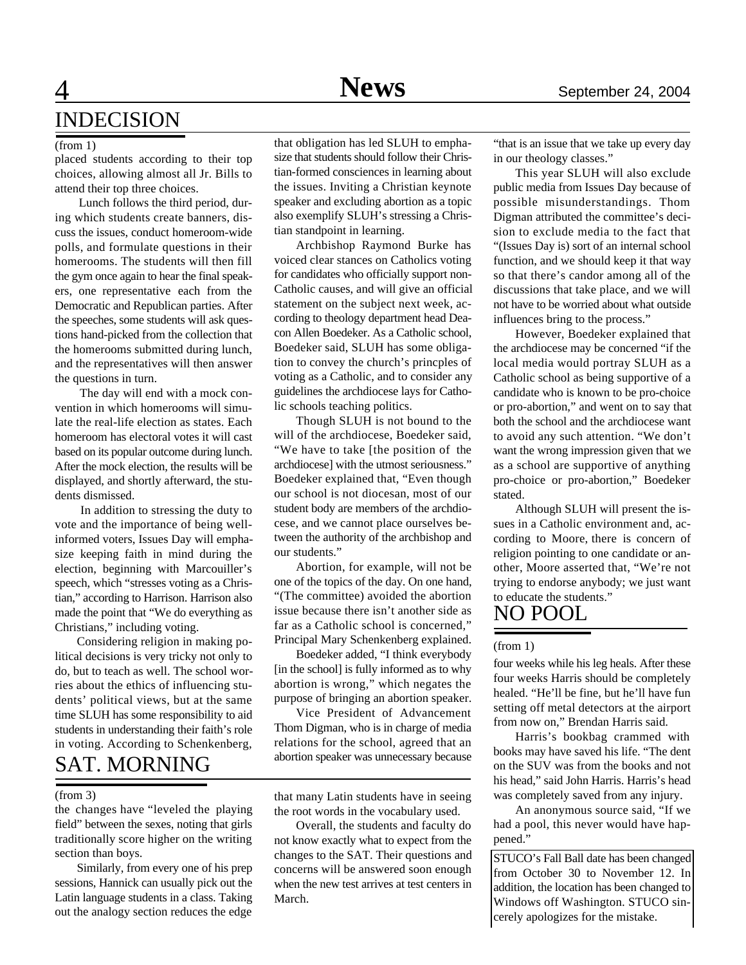## $\overline{4}$ INDECISION

### (from 1)

placed students according to their top choices, allowing almost all Jr. Bills to attend their top three choices.

 Lunch follows the third period, during which students create banners, discuss the issues, conduct homeroom-wide polls, and formulate questions in their homerooms. The students will then fill the gym once again to hear the final speakers, one representative each from the Democratic and Republican parties. After the speeches, some students will ask questions hand-picked from the collection that the homerooms submitted during lunch, and the representatives will then answer the questions in turn.

 The day will end with a mock convention in which homerooms will simulate the real-life election as states. Each homeroom has electoral votes it will cast based on its popular outcome during lunch. After the mock election, the results will be displayed, and shortly afterward, the students dismissed.

 In addition to stressing the duty to vote and the importance of being wellinformed voters, Issues Day will emphasize keeping faith in mind during the election, beginning with Marcouiller's speech, which "stresses voting as a Christian," according to Harrison. Harrison also made the point that "We do everything as Christians," including voting.

Considering religion in making political decisions is very tricky not only to do, but to teach as well. The school worries about the ethics of influencing students' political views, but at the same time SLUH has some responsibility to aid students in understanding their faith's role in voting. According to Schenkenberg,

## SAT. MORNING

### (from 3)

the changes have "leveled the playing field" between the sexes, noting that girls traditionally score higher on the writing section than boys.

Similarly, from every one of his prep sessions, Hannick can usually pick out the Latin language students in a class. Taking out the analogy section reduces the edge

that obligation has led SLUH to emphasize that students should follow their Christian-formed consciences in learning about the issues. Inviting a Christian keynote speaker and excluding abortion as a topic also exemplify SLUH's stressing a Christian standpoint in learning.

Archbishop Raymond Burke has voiced clear stances on Catholics voting for candidates who officially support non-Catholic causes, and will give an official statement on the subject next week, according to theology department head Deacon Allen Boedeker. As a Catholic school, Boedeker said, SLUH has some obligation to convey the church's princples of voting as a Catholic, and to consider any guidelines the archdiocese lays for Catholic schools teaching politics.

Though SLUH is not bound to the will of the archdiocese, Boedeker said, "We have to take [the position of the archdiocese] with the utmost seriousness." Boedeker explained that, "Even though our school is not diocesan, most of our student body are members of the archdiocese, and we cannot place ourselves between the authority of the archbishop and our students."

Abortion, for example, will not be one of the topics of the day. On one hand, "(The committee) avoided the abortion issue because there isn't another side as far as a Catholic school is concerned," Principal Mary Schenkenberg explained.

Boedeker added, "I think everybody [in the school] is fully informed as to why abortion is wrong," which negates the purpose of bringing an abortion speaker.

Vice President of Advancement Thom Digman, who is in charge of media relations for the school, agreed that an abortion speaker was unnecessary because

that many Latin students have in seeing the root words in the vocabulary used.

Overall, the students and faculty do not know exactly what to expect from the changes to the SAT. Their questions and concerns will be answered soon enough when the new test arrives at test centers in March.

"that is an issue that we take up every day in our theology classes."

This year SLUH will also exclude public media from Issues Day because of possible misunderstandings. Thom Digman attributed the committee's decision to exclude media to the fact that "(Issues Day is) sort of an internal school function, and we should keep it that way so that there's candor among all of the discussions that take place, and we will not have to be worried about what outside influences bring to the process."

However, Boedeker explained that the archdiocese may be concerned "if the local media would portray SLUH as a Catholic school as being supportive of a candidate who is known to be pro-choice or pro-abortion," and went on to say that both the school and the archdiocese want to avoid any such attention. "We don't want the wrong impression given that we as a school are supportive of anything pro-choice or pro-abortion," Boedeker stated.

Although SLUH will present the issues in a Catholic environment and, according to Moore, there is concern of religion pointing to one candidate or another, Moore asserted that, "We're not trying to endorse anybody; we just want to educate the students."

## NO POOL

### (from 1)

four weeks while his leg heals. After these four weeks Harris should be completely healed. "He'll be fine, but he'll have fun setting off metal detectors at the airport from now on," Brendan Harris said.

Harris's bookbag crammed with books may have saved his life. "The dent on the SUV was from the books and not his head," said John Harris. Harris's head was completely saved from any injury.

An anonymous source said, "If we had a pool, this never would have happened."

STUCO's Fall Ball date has been changed from October 30 to November 12. In addition, the location has been changed to Windows off Washington. STUCO sincerely apologizes for the mistake.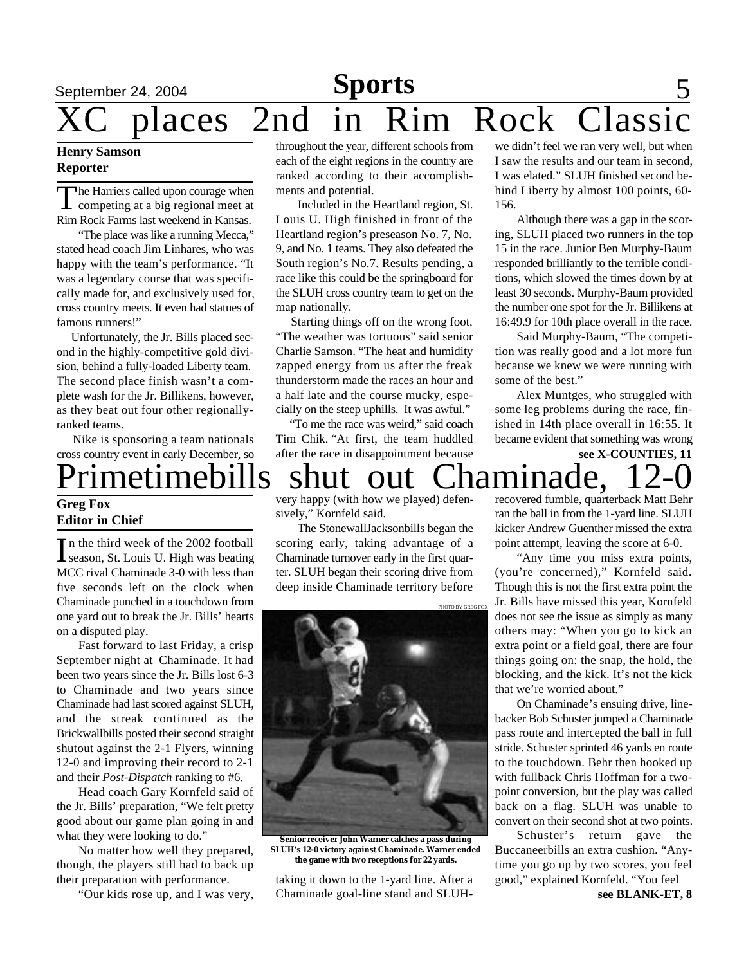## September 24, 2004 **Sports** 5 laces 2nd in Rim Rock Class **Sports**

### **Henry Samson Reporter**

The Harriers called upon courage when<br>
competing at a big regional meet at<br>
Rim Rock Farms last weekend in Kansas. he Harriers called upon courage when competing at a big regional meet at

"The place was like a running Mecca," stated head coach Jim Linhares, who was happy with the team's performance. "It was a legendary course that was specifically made for, and exclusively used for, cross country meets. It even had statues of famous runners!"

 Unfortunately, the Jr. Bills placed second in the highly-competitive gold division, behind a fully-loaded Liberty team. The second place finish wasn't a complete wash for the Jr. Billikens, however, as they beat out four other regionallyranked teams.

 Nike is sponsoring a team nationals cross country event in early December, so

### **Greg Fox Editor in Chief**

In the third week of the 2002 football<br>season, St. Louis U. High was beating n the third week of the 2002 football MCC rival Chaminade 3-0 with less than five seconds left on the clock when Chaminade punched in a touchdown from one yard out to break the Jr. Bills' hearts on a disputed play.

Fast forward to last Friday, a crisp September night at Chaminade. It had been two years since the Jr. Bills lost 6-3 to Chaminade and two years since Chaminade had last scored against SLUH, and the streak continued as the Brickwallbills posted their second straight shutout against the 2-1 Flyers, winning 12-0 and improving their record to 2-1 and their *Post-Dispatch* ranking to #6.

Head coach Gary Kornfeld said of the Jr. Bills' preparation, "We felt pretty good about our game plan going in and what they were looking to do."

No matter how well they prepared, though, the players still had to back up their preparation with performance.

"Our kids rose up, and I was very,

throughout the year, different schools from each of the eight regions in the country are ranked according to their accomplishments and potential.

Included in the Heartland region, St. Louis U. High finished in front of the Heartland region's preseason No. 7, No. 9, and No. 1 teams. They also defeated the South region's No.7. Results pending, a race like this could be the springboard for the SLUH cross country team to get on the map nationally.

 Starting things off on the wrong foot, "The weather was tortuous" said senior Charlie Samson. "The heat and humidity zapped energy from us after the freak thunderstorm made the races an hour and a half late and the course mucky, especially on the steep uphills. It was awful."

 "To me the race was weird," said coach Tim Chik. "At first, the team huddled after the race in disappointment because

we didn't feel we ran very well, but when I saw the results and our team in second, I was elated." SLUH finished second behind Liberty by almost 100 points, 60- 156.

Although there was a gap in the scoring, SLUH placed two runners in the top 15 in the race. Junior Ben Murphy-Baum responded brilliantly to the terrible conditions, which slowed the times down by at least 30 seconds. Murphy-Baum provided the number one spot for the Jr. Billikens at 16:49.9 for 10th place overall in the race.

Said Murphy-Baum, "The competition was really good and a lot more fun because we knew we were running with some of the best."

Alex Muntges, who struggled with some leg problems during the race, finished in 14th place overall in 16:55. It became evident that something was wrong

rimetimebills shut out Chaminade, **see X-COUNTIES, 11**

PHOTO BY GREG FOX

very happy (with how we played) defensively," Kornfeld said.

The StonewallJacksonbills began the scoring early, taking advantage of a Chaminade turnover early in the first quarter. SLUH began their scoring drive from deep inside Chaminade territory before



**Senior receiver John Warner catches a pass during SLUH's 12-0 victory against Chaminade. Warner ended the game with two receptions for 22 yards.**

taking it down to the 1-yard line. After a Chaminade goal-line stand and SLUH-

recovered fumble, quarterback Matt Behr ran the ball in from the 1-yard line. SLUH kicker Andrew Guenther missed the extra point attempt, leaving the score at 6-0.

"Any time you miss extra points, (you're concerned)," Kornfeld said. Though this is not the first extra point the Jr. Bills have missed this year, Kornfeld does not see the issue as simply as many others may: "When you go to kick an extra point or a field goal, there are four things going on: the snap, the hold, the blocking, and the kick. It's not the kick that we're worried about."

On Chaminade's ensuing drive, linebacker Bob Schuster jumped a Chaminade pass route and intercepted the ball in full stride. Schuster sprinted 46 yards en route to the touchdown. Behr then hooked up with fullback Chris Hoffman for a twopoint conversion, but the play was called back on a flag. SLUH was unable to convert on their second shot at two points.

Schuster's return gave the Buccaneerbills an extra cushion. "Anytime you go up by two scores, you feel good," explained Kornfeld. "You feel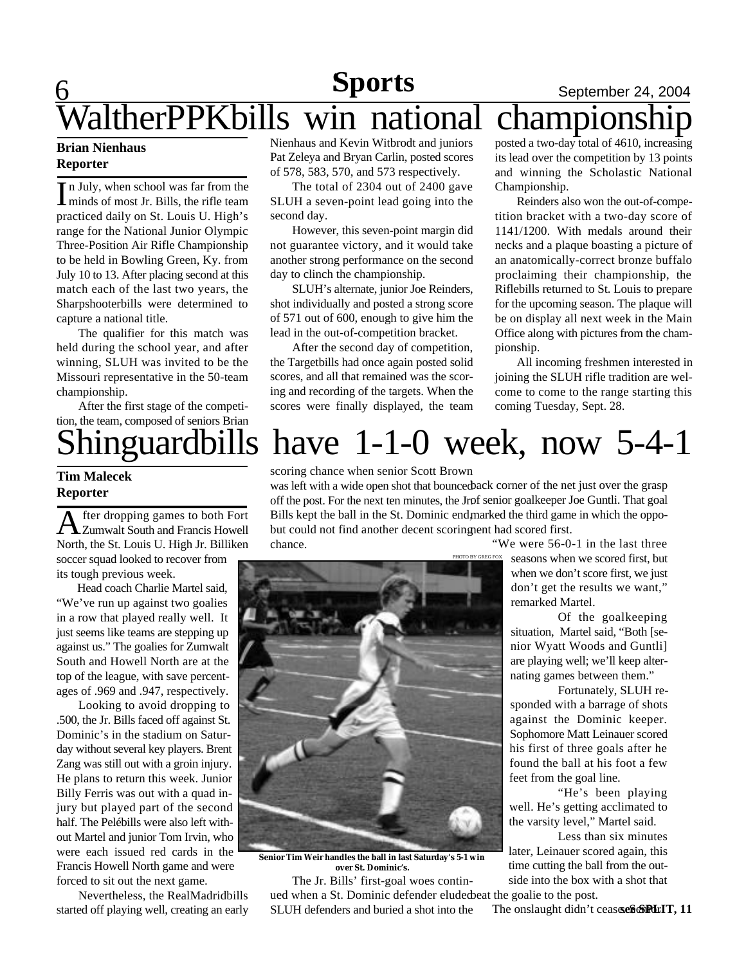## $\underline{6}$ **Sports** September 24, 2004 ItherPPKbills win national championshi

### **Brian Nienhaus Reporter**

In July, when school was far from the<br>Iminds of most Jr. Bills, the rifle team n July, when school was far from the practiced daily on St. Louis U. High's range for the National Junior Olympic Three-Position Air Rifle Championship to be held in Bowling Green, Ky. from July 10 to 13. After placing second at this match each of the last two years, the Sharpshooterbills were determined to capture a national title.

The qualifier for this match was held during the school year, and after winning, SLUH was invited to be the Missouri representative in the 50-team championship.

After the first stage of the competition, the team, composed of seniors Brian Nienhaus and Kevin Witbrodt and juniors Pat Zeleya and Bryan Carlin, posted scores of 578, 583, 570, and 573 respectively.

The total of 2304 out of 2400 gave SLUH a seven-point lead going into the second day.

However, this seven-point margin did not guarantee victory, and it would take another strong performance on the second day to clinch the championship.

SLUH's alternate, junior Joe Reinders, shot individually and posted a strong score of 571 out of 600, enough to give him the lead in the out-of-competition bracket.

After the second day of competition, the Targetbills had once again posted solid scores, and all that remained was the scoring and recording of the targets. When the scores were finally displayed, the team posted a two-day total of 4610, increasing its lead over the competition by 13 points and winning the Scholastic National Championship.

Reinders also won the out-of-competition bracket with a two-day score of 1141/1200. With medals around their necks and a plaque boasting a picture of an anatomically-correct bronze buffalo proclaiming their championship, the Riflebills returned to St. Louis to prepare for the upcoming season. The plaque will be on display all next week in the Main Office along with pictures from the championship.

All incoming freshmen interested in joining the SLUH rifle tradition are welcome to come to the range starting this coming Tuesday, Sept. 28.

# ninguardbills have 1-1-0 week, now 5-4-1

### **Tim Malecek Reporter**

A fter dropping games to both Fort<br>Zumwalt South and Francis Howell fter dropping games to both Fort North, the St. Louis U. High Jr. Billiken soccer squad looked to recover from its tough previous week.

Head coach Charlie Martel said, "We've run up against two goalies in a row that played really well. It just seems like teams are stepping up against us." The goalies for Zumwalt South and Howell North are at the top of the league, with save percentages of .969 and .947, respectively.

Looking to avoid dropping to .500, the Jr. Bills faced off against St. Dominic's in the stadium on Saturday without several key players. Brent Zang was still out with a groin injury. He plans to return this week. Junior Billy Ferris was out with a quad injury but played part of the second half. The Pelébills were also left without Martel and junior Tom Irvin, who were each issued red cards in the Francis Howell North game and were forced to sit out the next game.

Nevertheless, the RealMadridbills started off playing well, creating an early



chance.



**Senior Tim Weir handles the ball in last Saturday's 5-1 win over St. Dominic's.**

The Jr. Bills' first-goal woes continued when a St. Dominic defender eluded beat the goalie to the post. SLUH defenders and buried a shot into the

"We were 56-0-1 in the last three seasons when we scored first, but

when we don't score first, we just don't get the results we want," remarked Martel.

Of the goalkeeping situation, Martel said, "Both [senior Wyatt Woods and Guntli] are playing well; we'll keep alternating games between them."

Fortunately, SLUH responded with a barrage of shots against the Dominic keeper. Sophomore Matt Leinauer scored his first of three goals after he found the ball at his foot a few feet from the goal line.

"He's been playing well. He's getting acclimated to the varsity level," Martel said.

Less than six minutes later, Leinauer scored again, this time cutting the ball from the outside into the box with a shot that

The onslaught didn't ceaseseSoPUrIT, 11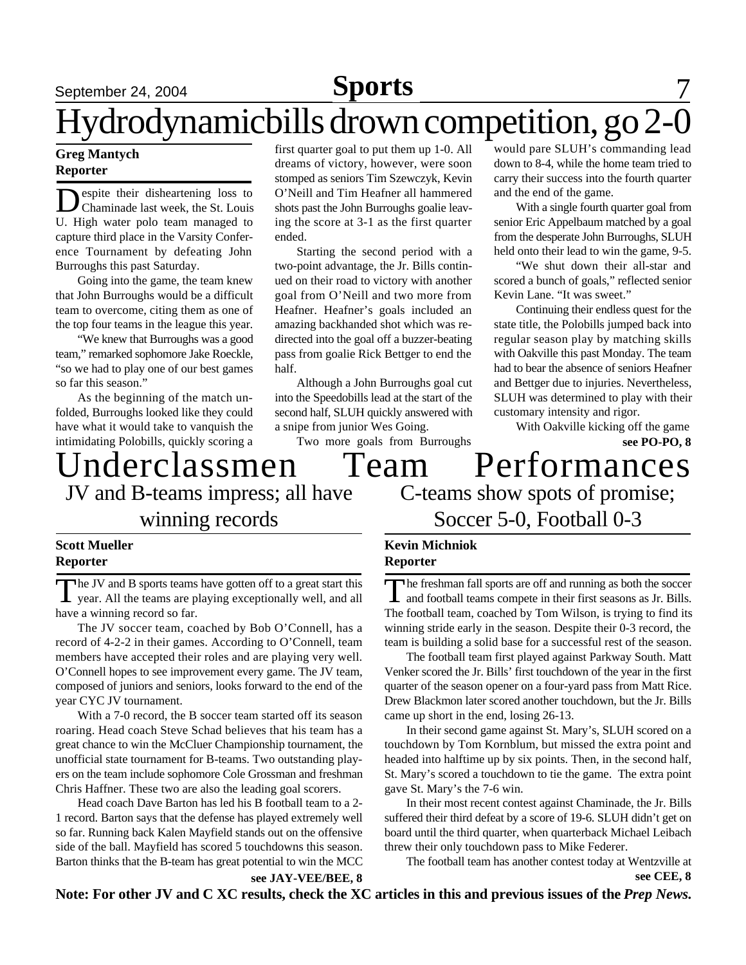## **Sports**

# September 24, 2004 **Sports** 7 Hydrodynamicbills drown competition, go 2-0

### **Greg Mantych Reporter**

Despite their disheartening loss to<br>Chaminade last week, the St. Louis espite their disheartening loss to U. High water polo team managed to capture third place in the Varsity Conference Tournament by defeating John Burroughs this past Saturday.

Going into the game, the team knew that John Burroughs would be a difficult team to overcome, citing them as one of the top four teams in the league this year.

"We knew that Burroughs was a good team," remarked sophomore Jake Roeckle, "so we had to play one of our best games so far this season."

As the beginning of the match unfolded, Burroughs looked like they could have what it would take to vanquish the intimidating Polobills, quickly scoring a

first quarter goal to put them up 1-0. All dreams of victory, however, were soon stomped as seniors Tim Szewczyk, Kevin O'Neill and Tim Heafner all hammered shots past the John Burroughs goalie leaving the score at 3-1 as the first quarter ended.

Starting the second period with a two-point advantage, the Jr. Bills continued on their road to victory with another goal from O'Neill and two more from Heafner. Heafner's goals included an amazing backhanded shot which was redirected into the goal off a buzzer-beating pass from goalie Rick Bettger to end the half.

Although a John Burroughs goal cut into the Speedobills lead at the start of the second half, SLUH quickly answered with a snipe from junior Wes Going.

Two more goals from Burroughs

would pare SLUH's commanding lead down to 8-4, while the home team tried to carry their success into the fourth quarter and the end of the game.

With a single fourth quarter goal from senior Eric Appelbaum matched by a goal from the desperate John Burroughs, SLUH held onto their lead to win the game, 9-5.

"We shut down their all-star and scored a bunch of goals," reflected senior Kevin Lane. "It was sweet."

Continuing their endless quest for the state title, the Polobills jumped back into regular season play by matching skills with Oakville this past Monday. The team had to bear the absence of seniors Heafner and Bettger due to injuries. Nevertheless, SLUH was determined to play with their customary intensity and rigor.

**see PO-PO, 8** With Oakville kicking off the game

## Underclassmen Team Performances JV and B-teams impress; all have winning records C-teams show spots of promise; Soccer 5-0, Football 0-3

### **Scott Mueller Reporter**

The JV and B sports teams have gotten off to a great start this year. All the teams are playing exceptionally well, and all The JV and B sports teams have gotten off to a great start this have a winning record so far.

The JV soccer team, coached by Bob O'Connell, has a record of 4-2-2 in their games. According to O'Connell, team members have accepted their roles and are playing very well. O'Connell hopes to see improvement every game. The JV team, composed of juniors and seniors, looks forward to the end of the year CYC JV tournament.

With a 7-0 record, the B soccer team started off its season roaring. Head coach Steve Schad believes that his team has a great chance to win the McCluer Championship tournament, the unofficial state tournament for B-teams. Two outstanding players on the team include sophomore Cole Grossman and freshman Chris Haffner. These two are also the leading goal scorers.

Head coach Dave Barton has led his B football team to a 2- 1 record. Barton says that the defense has played extremely well so far. Running back Kalen Mayfield stands out on the offensive side of the ball. Mayfield has scored 5 touchdowns this season. Barton thinks that the B-team has great potential to win the MCC

**Kevin Michniok**

**Reporter**

The freshman fall sports are off and running as both the soccer<br>and football teams compete in their first seasons as Jr. Bills. and football teams compete in their first seasons as Jr. Bills. The football team, coached by Tom Wilson, is trying to find its winning stride early in the season. Despite their 0-3 record, the team is building a solid base for a successful rest of the season.

The football team first played against Parkway South. Matt Venker scored the Jr. Bills' first touchdown of the year in the first quarter of the season opener on a four-yard pass from Matt Rice. Drew Blackmon later scored another touchdown, but the Jr. Bills came up short in the end, losing 26-13.

In their second game against St. Mary's, SLUH scored on a touchdown by Tom Kornblum, but missed the extra point and headed into halftime up by six points. Then, in the second half, St. Mary's scored a touchdown to tie the game. The extra point gave St. Mary's the 7-6 win.

In their most recent contest against Chaminade, the Jr. Bills suffered their third defeat by a score of 19-6. SLUH didn't get on board until the third quarter, when quarterback Michael Leibach threw their only touchdown pass to Mike Federer.

The football team has another contest today at Wentzville at **see JAY-VEE/BEE, 8 see CEE, 8**

**Note: For other JV and C XC results, check the XC articles in this and previous issues of the** *Prep News.*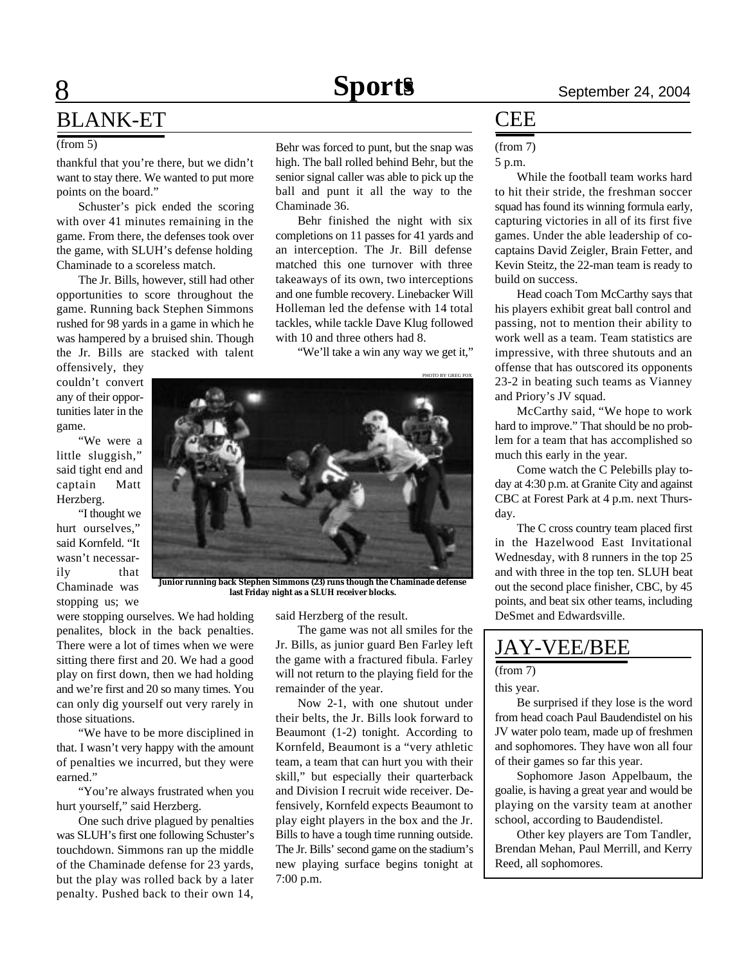# BLANK-ET CEE

thankful that you're there, but we didn't want to stay there. We wanted to put more points on the board."

Schuster's pick ended the scoring with over 41 minutes remaining in the game. From there, the defenses took over the game, with SLUH's defense holding Chaminade to a scoreless match.

The Jr. Bills, however, still had other opportunities to score throughout the game. Running back Stephen Simmons rushed for 98 yards in a game in which he was hampered by a bruised shin. Though the Jr. Bills are stacked with talent

offensively, they couldn't convert any of their opportunities later in the game.

"We were a little sluggish," said tight end and captain Matt Herzberg.

"I thought we hurt ourselves," said Kornfeld. "It wasn't necessarily that Chaminade was stopping us; we

were stopping ourselves. We had holding penalites, block in the back penalties. There were a lot of times when we were sitting there first and 20. We had a good play on first down, then we had holding and we're first and 20 so many times. You can only dig yourself out very rarely in those situations.

"We have to be more disciplined in that. I wasn't very happy with the amount of penalties we incurred, but they were earned."

"You're always frustrated when you hurt yourself," said Herzberg.

One such drive plagued by penalties was SLUH's first one following Schuster's touchdown. Simmons ran up the middle of the Chaminade defense for 23 yards, but the play was rolled back by a later penalty. Pushed back to their own 14,

(from 5) Behr was forced to punt, but the snap was (from 7) high. The ball rolled behind Behr, but the senior signal caller was able to pick up the ball and punt it all the way to the Chaminade 36.

> Behr finished the night with six completions on 11 passes for 41 yards and an interception. The Jr. Bill defense matched this one turnover with three takeaways of its own, two interceptions and one fumble recovery. Linebacker Will Holleman led the defense with 14 total tackles, while tackle Dave Klug followed with 10 and three others had 8.

> > "We'll take a win any way we get it,"



**Junior running back Stephen Simmons (23) runs though the Chaminade defense last Friday night as a SLUH receiver blocks.**

said Herzberg of the result.

The game was not all smiles for the Jr. Bills, as junior guard Ben Farley left the game with a fractured fibula. Farley will not return to the playing field for the remainder of the year.

Now 2-1, with one shutout under their belts, the Jr. Bills look forward to Beaumont (1-2) tonight. According to Kornfeld, Beaumont is a "very athletic team, a team that can hurt you with their skill," but especially their quarterback and Division I recruit wide receiver. Defensively, Kornfeld expects Beaumont to play eight players in the box and the Jr. Bills to have a tough time running outside. The Jr. Bills' second game on the stadium's new playing surface begins tonight at 7:00 p.m.

### 5 p.m.

While the football team works hard to hit their stride, the freshman soccer squad has found its winning formula early, capturing victories in all of its first five games. Under the able leadership of cocaptains David Zeigler, Brain Fetter, and Kevin Steitz, the 22-man team is ready to build on success.

Head coach Tom McCarthy says that his players exhibit great ball control and passing, not to mention their ability to work well as a team. Team statistics are impressive, with three shutouts and an offense that has outscored its opponents 23-2 in beating such teams as Vianney and Priory's JV squad.

McCarthy said, "We hope to work hard to improve." That should be no problem for a team that has accomplished so much this early in the year.

Come watch the C Pelebills play today at 4:30 p.m. at Granite City and against CBC at Forest Park at 4 p.m. next Thursday.

The C cross country team placed first in the Hazelwood East Invitational Wednesday, with 8 runners in the top 25 and with three in the top ten. SLUH beat out the second place finisher, CBC, by 45 points, and beat six other teams, including DeSmet and Edwardsville.

## JAY-VEE/BEE

### (from 7)

this year.

Be surprised if they lose is the word from head coach Paul Baudendistel on his JV water polo team, made up of freshmen and sophomores. They have won all four of their games so far this year.

Sophomore Jason Appelbaum, the goalie, is having a great year and would be playing on the varsity team at another school, according to Baudendistel.

Other key players are Tom Tandler, Brendan Mehan, Paul Merrill, and Kerry Reed, all sophomores.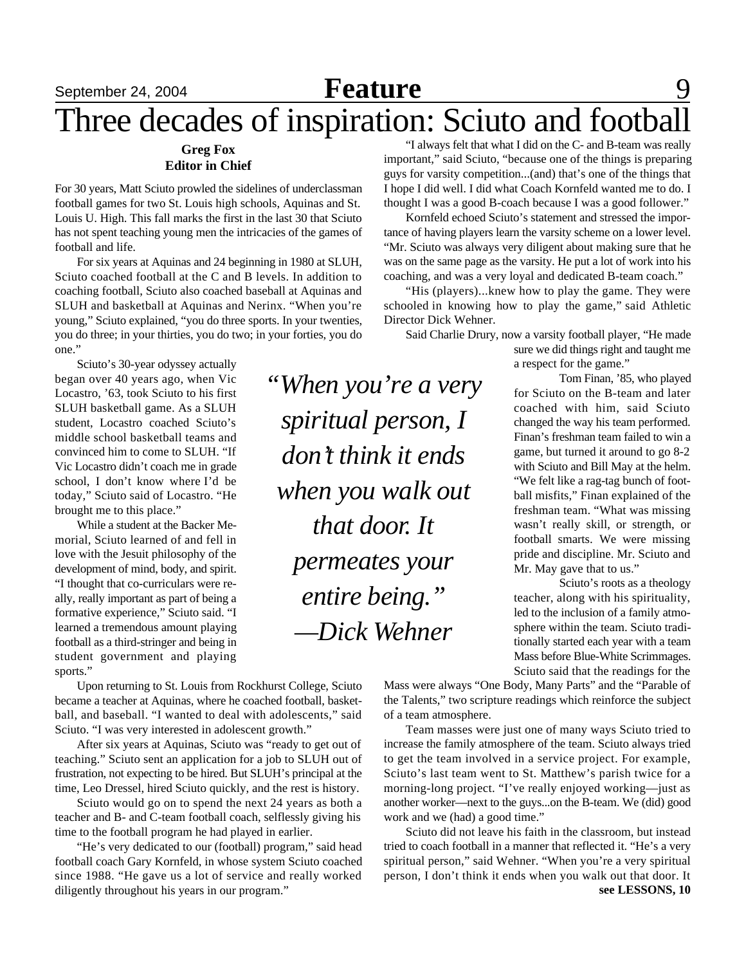### **Greg Fox Editor in Chief**

For 30 years, Matt Sciuto prowled the sidelines of underclassman football games for two St. Louis high schools, Aquinas and St. Louis U. High. This fall marks the first in the last 30 that Sciuto has not spent teaching young men the intricacies of the games of football and life.

For six years at Aquinas and 24 beginning in 1980 at SLUH, Sciuto coached football at the C and B levels. In addition to coaching football, Sciuto also coached baseball at Aquinas and SLUH and basketball at Aquinas and Nerinx. "When you're young," Sciuto explained, "you do three sports. In your twenties, you do three; in your thirties, you do two; in your forties, you do one."

Sciuto's 30-year odyssey actually began over 40 years ago, when Vic Locastro, '63, took Sciuto to his first SLUH basketball game. As a SLUH student, Locastro coached Sciuto's middle school basketball teams and convinced him to come to SLUH. "If Vic Locastro didn't coach me in grade school, I don't know where I'd be today," Sciuto said of Locastro. "He brought me to this place."

While a student at the Backer Memorial, Sciuto learned of and fell in love with the Jesuit philosophy of the development of mind, body, and spirit. "I thought that co-curriculars were really, really important as part of being a formative experience," Sciuto said. "I learned a tremendous amount playing football as a third-stringer and being in student government and playing sports."

Upon returning to St. Louis from Rockhurst College, Sciuto became a teacher at Aquinas, where he coached football, basketball, and baseball. "I wanted to deal with adolescents," said Sciuto. "I was very interested in adolescent growth."

After six years at Aquinas, Sciuto was "ready to get out of teaching." Sciuto sent an application for a job to SLUH out of frustration, not expecting to be hired. But SLUH's principal at the time, Leo Dressel, hired Sciuto quickly, and the rest is history.

Sciuto would go on to spend the next 24 years as both a teacher and B- and C-team football coach, selflessly giving his time to the football program he had played in earlier.

"He's very dedicated to our (football) program," said head football coach Gary Kornfeld, in whose system Sciuto coached since 1988. "He gave us a lot of service and really worked diligently throughout his years in our program."

"I always felt that what I did on the C- and B-team was really important," said Sciuto, "because one of the things is preparing guys for varsity competition...(and) that's one of the things that I hope I did well. I did what Coach Kornfeld wanted me to do. I thought I was a good B-coach because I was a good follower."

Kornfeld echoed Sciuto's statement and stressed the importance of having players learn the varsity scheme on a lower level. "Mr. Sciuto was always very diligent about making sure that he was on the same page as the varsity. He put a lot of work into his coaching, and was a very loyal and dedicated B-team coach."

"His (players)...knew how to play the game. They were schooled in knowing how to play the game," said Athletic Director Dick Wehner.

Said Charlie Drury, now a varsity football player, "He made

sure we did things right and taught me a respect for the game."

Tom Finan, '85, who played for Sciuto on the B-team and later coached with him, said Sciuto changed the way his team performed. Finan's freshman team failed to win a game, but turned it around to go 8-2 with Sciuto and Bill May at the helm. "We felt like a rag-tag bunch of football misfits," Finan explained of the freshman team. "What was missing wasn't really skill, or strength, or football smarts. We were missing pride and discipline. Mr. Sciuto and Mr. May gave that to us."

Sciuto's roots as a theology teacher, along with his spirituality, led to the inclusion of a family atmosphere within the team. Sciuto traditionally started each year with a team Mass before Blue-White Scrimmages. Sciuto said that the readings for the

Mass were always "One Body, Many Parts" and the "Parable of the Talents," two scripture readings which reinforce the subject of a team atmosphere.

Team masses were just one of many ways Sciuto tried to increase the family atmosphere of the team. Sciuto always tried to get the team involved in a service project. For example, Sciuto's last team went to St. Matthew's parish twice for a morning-long project. "I've really enjoyed working—just as another worker—next to the guys...on the B-team. We (did) good work and we (had) a good time."

**see LESSONS, 10** Sciuto did not leave his faith in the classroom, but instead tried to coach football in a manner that reflected it. "He's a very spiritual person," said Wehner. "When you're a very spiritual person, I don't think it ends when you walk out that door. It

*"When you're a very spiritual person, I don't think it ends when you walk out that door. It permeates your entire being." —Dick Wehner*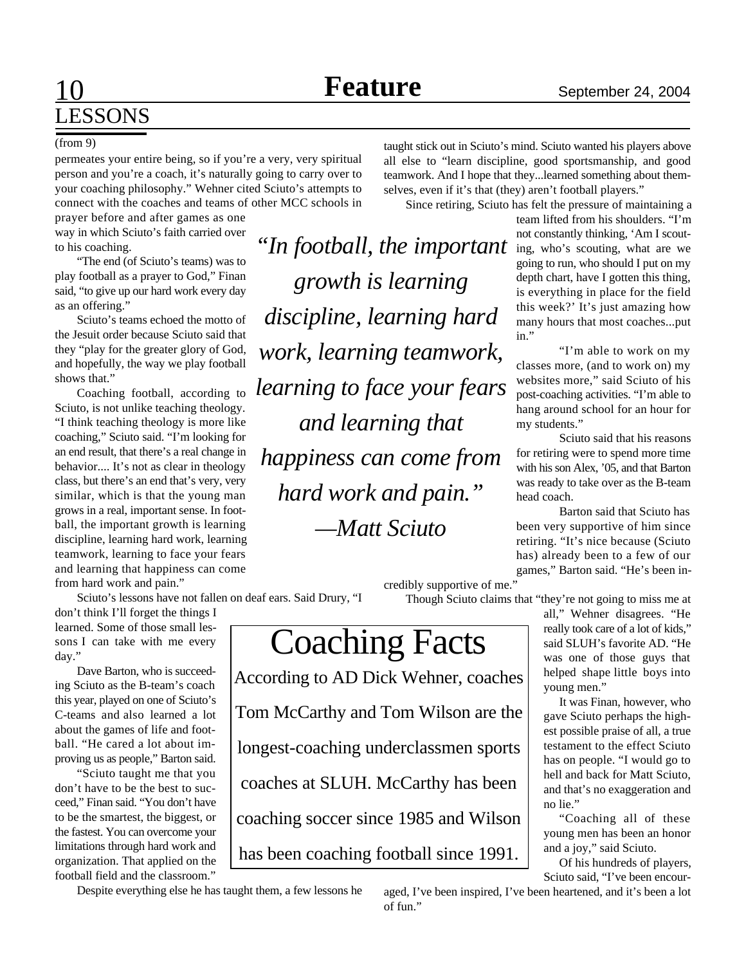# 10 **Feature** September 24, 2004 LESSONS

permeates your entire being, so if you're a very, very spiritual person and you're a coach, it's naturally going to carry over to your coaching philosophy." Wehner cited Sciuto's attempts to connect with the coaches and teams of other MCC schools in

prayer before and after games as one way in which Sciuto's faith carried over to his coaching.

"The end (of Sciuto's teams) was to play football as a prayer to God," Finan said, "to give up our hard work every day as an offering."

Sciuto's teams echoed the motto of the Jesuit order because Sciuto said that they "play for the greater glory of God, and hopefully, the way we play football shows that."

Coaching football, according to Sciuto, is not unlike teaching theology. "I think teaching theology is more like coaching," Sciuto said. "I'm looking for an end result, that there's a real change in behavior.... It's not as clear in theology class, but there's an end that's very, very similar, which is that the young man grows in a real, important sense. In football, the important growth is learning discipline, learning hard work, learning teamwork, learning to face your fears and learning that happiness can come from hard work and pain."

Sciuto's lessons have not fallen on deaf ears. Said Drury, "I

don't think I'll forget the things I learned. Some of those small lessons I can take with me every day."

Dave Barton, who is succeeding Sciuto as the B-team's coach this year, played on one of Sciuto's C-teams and also learned a lot about the games of life and football. "He cared a lot about improving us as people," Barton said.

"Sciuto taught me that you don't have to be the best to succeed," Finan said. "You don't have to be the smartest, the biggest, or the fastest. You can overcome your limitations through hard work and organization. That applied on the football field and the classroom."

Despite everything else he has taught them, a few lessons he

(from 9) taught stick out in Sciuto's mind. Sciuto wanted his players above all else to "learn discipline, good sportsmanship, and good teamwork. And I hope that they...learned something about themselves, even if it's that (they) aren't football players."

Since retiring, Sciuto has felt the pressure of maintaining a

in."

*"In football, the important growth is learning discipline, learning hard work, learning teamwork, learning to face your fears and learning that happiness can come from hard work and pain." —Matt Sciuto*

According to AD Dick Wehner, coaches

Coaching Facts

Tom McCarthy and Tom Wilson are the

longest-coaching underclassmen sports

coaches at SLUH. McCarthy has been

coaching soccer since 1985 and Wilson

has been coaching football since 1991.

credibly supportive of me."

Though Sciuto claims that "they're not going to miss me at

my students."

head coach.

all," Wehner disagrees. "He really took care of a lot of kids," said SLUH's favorite AD. "He was one of those guys that helped shape little boys into young men."

It was Finan, however, who gave Sciuto perhaps the highest possible praise of all, a true testament to the effect Sciuto has on people. "I would go to hell and back for Matt Sciuto, and that's no exaggeration and no lie."

"Coaching all of these young men has been an honor and a joy," said Sciuto.

Of his hundreds of players, Sciuto said, "I've been encour-

aged, I've been inspired, I've been heartened, and it's been a lot of fun."

team lifted from his shoulders. "I'm not constantly thinking, 'Am I scouting, who's scouting, what are we going to run, who should I put on my depth chart, have I gotten this thing, is everything in place for the field this week?' It's just amazing how many hours that most coaches...put

"I'm able to work on my

Sciuto said that his reasons

Barton said that Sciuto has

classes more, (and to work on) my websites more," said Sciuto of his post-coaching activities. "I'm able to hang around school for an hour for

for retiring were to spend more time with his son Alex, '05, and that Barton was ready to take over as the B-team

been very supportive of him since retiring. "It's nice because (Sciuto has) already been to a few of our games," Barton said. "He's been in-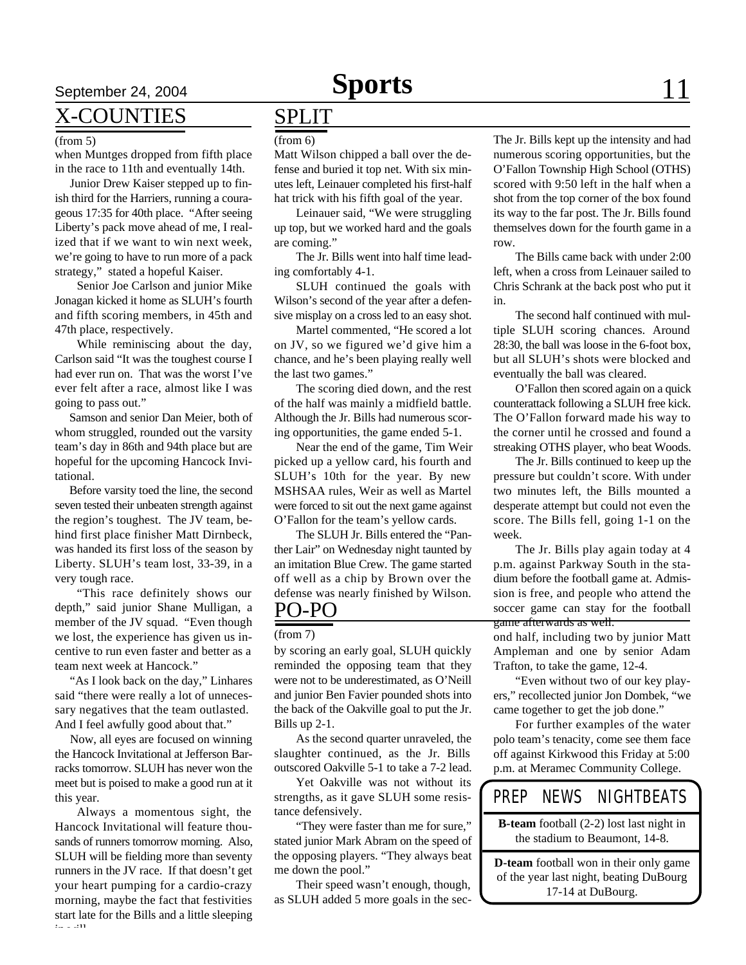## September 24, 2004 **Sports** 11 X-COUNTIES

### (from 5)

when Muntges dropped from fifth place in the race to 11th and eventually 14th.

 Junior Drew Kaiser stepped up to finish third for the Harriers, running a courageous 17:35 for 40th place. "After seeing Liberty's pack move ahead of me, I realized that if we want to win next week, we're going to have to run more of a pack strategy," stated a hopeful Kaiser.

Senior Joe Carlson and junior Mike Jonagan kicked it home as SLUH's fourth and fifth scoring members, in 45th and 47th place, respectively.

While reminiscing about the day, Carlson said "It was the toughest course I had ever run on. That was the worst I've ever felt after a race, almost like I was going to pass out."

 Samson and senior Dan Meier, both of whom struggled, rounded out the varsity team's day in 86th and 94th place but are hopeful for the upcoming Hancock Invitational.

 Before varsity toed the line, the second seven tested their unbeaten strength against the region's toughest. The JV team, behind first place finisher Matt Dirnbeck, was handed its first loss of the season by Liberty. SLUH's team lost, 33-39, in a very tough race.

"This race definitely shows our depth," said junior Shane Mulligan, a member of the JV squad. "Even though we lost, the experience has given us incentive to run even faster and better as a team next week at Hancock."

 "As I look back on the day," Linhares said "there were really a lot of unnecessary negatives that the team outlasted. And I feel awfully good about that."

 Now, all eyes are focused on winning the Hancock Invitational at Jefferson Barracks tomorrow. SLUH has never won the meet but is poised to make a good run at it this year.

Always a momentous sight, the Hancock Invitational will feature thousands of runners tomorrow morning. Also, SLUH will be fielding more than seventy runners in the JV race. If that doesn't get your heart pumping for a cardio-crazy morning, maybe the fact that festivities start late for the Bills and a little sleeping  $\ddot{\phantom{1}}$ 

## SPLIT

Matt Wilson chipped a ball over the defense and buried it top net. With six minutes left, Leinauer completed his first-half (from 6)

hat trick with his fifth goal of the year. Leinauer said, "We were struggling up top, but we worked hard and the goals are coming."

The Jr. Bills went into half time leading comfortably 4-1.

SLUH continued the goals with Wilson's second of the year after a defensive misplay on a cross led to an easy shot.

Martel commented, "He scored a lot on JV, so we figured we'd give him a chance, and he's been playing really well the last two games."

The scoring died down, and the rest of the half was mainly a midfield battle. Although the Jr. Bills had numerous scoring opportunities, the game ended 5-1.

Near the end of the game, Tim Weir picked up a yellow card, his fourth and SLUH's 10th for the year. By new MSHSAA rules, Weir as well as Martel were forced to sit out the next game against O'Fallon for the team's yellow cards.

The SLUH Jr. Bills entered the "Panther Lair" on Wednesday night taunted by an imitation Blue Crew. The game started off well as a chip by Brown over the defense was nearly finished by Wilson.

## PO-PO

by scoring an early goal, SLUH quickly reminded the opposing team that they were not to be underestimated, as O'Neill and junior Ben Favier pounded shots into the back of the Oakville goal to put the Jr. Bills up 2-1.

As the second quarter unraveled, the slaughter continued, as the Jr. Bills outscored Oakville 5-1 to take a 7-2 lead.

Yet Oakville was not without its strengths, as it gave SLUH some resistance defensively.

"They were faster than me for sure," stated junior Mark Abram on the speed of the opposing players. "They always beat me down the pool."

Their speed wasn't enough, though, as SLUH added 5 more goals in the secThe Jr. Bills kept up the intensity and had numerous scoring opportunities, but the O'Fallon Township High School (OTHS) scored with 9:50 left in the half when a shot from the top corner of the box found its way to the far post. The Jr. Bills found themselves down for the fourth game in a row.

The Bills came back with under 2:00 left, when a cross from Leinauer sailed to Chris Schrank at the back post who put it in.

The second half continued with multiple SLUH scoring chances. Around 28:30, the ball was loose in the 6-foot box, but all SLUH's shots were blocked and eventually the ball was cleared.

O'Fallon then scored again on a quick counterattack following a SLUH free kick. The O'Fallon forward made his way to the corner until he crossed and found a streaking OTHS player, who beat Woods.

The Jr. Bills continued to keep up the pressure but couldn't score. With under two minutes left, the Bills mounted a desperate attempt but could not even the score. The Bills fell, going 1-1 on the week.

The Jr. Bills play again today at 4 p.m. against Parkway South in the stadium before the football game at. Admission is free, and people who attend the soccer game can stay for the football game afterwards as well.

(from 7) ond half, including two by junior Matt Ampleman and one by senior Adam Trafton, to take the game, 12-4.

> "Even without two of our key players," recollected junior Jon Dombek, "we came together to get the job done."

> For further examples of the water polo team's tenacity, come see them face off against Kirkwood this Friday at 5:00 p.m. at Meramec Community College.

## *PREP NEWS* NIGHTBEATS

**B-team** football (2-2) lost last night in the stadium to Beaumont, 14-8.

**D-team** football won in their only game of the year last night, beating DuBourg 17-14 at DuBourg.